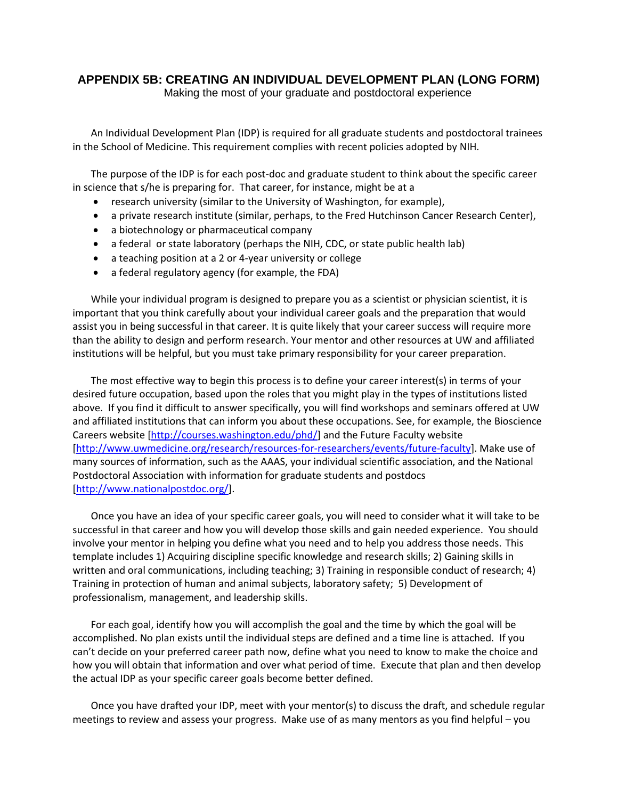### **APPENDIX 5B: CREATING AN INDIVIDUAL DEVELOPMENT PLAN (LONG FORM)**

Making the most of your graduate and postdoctoral experience

An Individual Development Plan (IDP) is required for all graduate students and postdoctoral trainees in the School of Medicine. This requirement complies with recent policies adopted by NIH.

The purpose of the IDP is for each post-doc and graduate student to think about the specific career in science that s/he is preparing for. That career, for instance, might be at a

- research university (similar to the University of Washington, for example),
- a private research institute (similar, perhaps, to the Fred Hutchinson Cancer Research Center),
- a biotechnology or pharmaceutical company
- a federal or state laboratory (perhaps the NIH, CDC, or state public health lab)
- a teaching position at a 2 or 4-year university or college
- a federal regulatory agency (for example, the FDA)

While your individual program is designed to prepare you as a scientist or physician scientist, it is important that you think carefully about your individual career goals and the preparation that would assist you in being successful in that career. It is quite likely that your career success will require more than the ability to design and perform research. Your mentor and other resources at UW and affiliated institutions will be helpful, but you must take primary responsibility for your career preparation.

The most effective way to begin this process is to define your career interest(s) in terms of your desired future occupation, based upon the roles that you might play in the types of institutions listed above. If you find it difficult to answer specifically, you will find workshops and seminars offered at UW and affiliated institutions that can inform you about these occupations. See, for example, the Bioscience Careers website [\[http://courses.washington.edu/phd/\]](http://courses.washington.edu/phd/) and the Future Faculty website [\[http://www.uwmedicine.org/research/resources-for-researchers/events/future-faculty\]](http://www.uwmedicine.org/research/resources-for-researchers/events/future-faculty). Make use of many sources of information, such as the AAAS, your individual scientific association, and the National Postdoctoral Association with information for graduate students and postdocs [\[http://www.nationalpostdoc.org/\]](http://www.nationalpostdoc.org/).

Once you have an idea of your specific career goals, you will need to consider what it will take to be successful in that career and how you will develop those skills and gain needed experience. You should involve your mentor in helping you define what you need and to help you address those needs. This template includes 1) Acquiring discipline specific knowledge and research skills; 2) Gaining skills in written and oral communications, including teaching; 3) Training in responsible conduct of research; 4) Training in protection of human and animal subjects, laboratory safety; 5) Development of professionalism, management, and leadership skills.

For each goal, identify how you will accomplish the goal and the time by which the goal will be accomplished. No plan exists until the individual steps are defined and a time line is attached. If you can't decide on your preferred career path now, define what you need to know to make the choice and how you will obtain that information and over what period of time. Execute that plan and then develop the actual IDP as your specific career goals become better defined.

Once you have drafted your IDP, meet with your mentor(s) to discuss the draft, and schedule regular meetings to review and assess your progress. Make use of as many mentors as you find helpful – you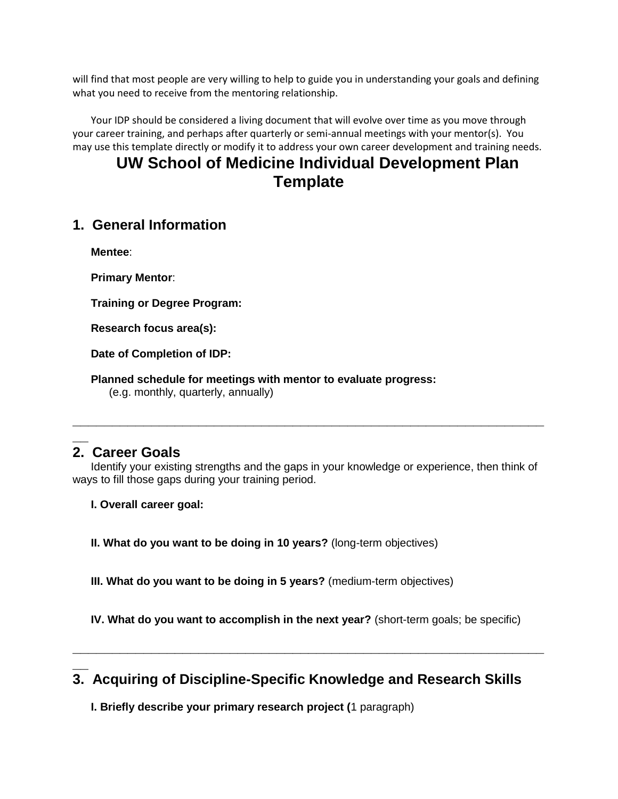will find that most people are very willing to help to guide you in understanding your goals and defining what you need to receive from the mentoring relationship.

Your IDP should be considered a living document that will evolve over time as you move through your career training, and perhaps after quarterly or semi-annual meetings with your mentor(s). You may use this template directly or modify it to address your own career development and training needs.

# **UW School of Medicine Individual Development Plan Template**

# **1. General Information**

**Mentee**:

**Primary Mentor**:

**Training or Degree Program:** 

**Research focus area(s):**

**Date of Completion of IDP:**

**Planned schedule for meetings with mentor to evaluate progress:**

(e.g. monthly, quarterly, annually)

## **\_\_ 2. Career Goals**

**\_\_**

Identify your existing strengths and the gaps in your knowledge or experience, then think of ways to fill those gaps during your training period.

**\_\_\_\_\_\_\_\_\_\_\_\_\_\_\_\_\_\_\_\_\_\_\_\_\_\_\_\_\_\_\_\_\_\_\_\_\_\_\_\_\_\_\_\_\_\_\_\_\_\_\_\_\_\_\_\_\_\_\_\_**

**I. Overall career goal:**

**II. What do you want to be doing in 10 years?** (long-term objectives)

**III. What do you want to be doing in 5 years?** (medium-term objectives)

**IV. What do you want to accomplish in the next year?** (short-term goals; be specific)

**\_\_\_\_\_\_\_\_\_\_\_\_\_\_\_\_\_\_\_\_\_\_\_\_\_\_\_\_\_\_\_\_\_\_\_\_\_\_\_\_\_\_\_\_\_\_\_\_\_\_\_\_\_\_\_\_\_\_\_\_**

# **3. Acquiring of Discipline-Specific Knowledge and Research Skills**

**I. Briefly describe your primary research project (**1 paragraph)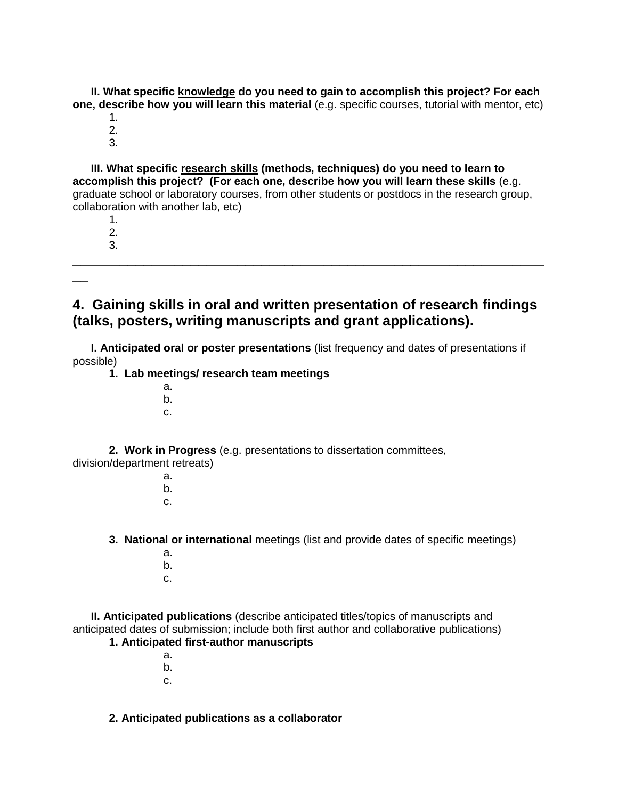**II. What specific knowledge do you need to gain to accomplish this project? For each one, describe how you will learn this material** (e.g. specific courses, tutorial with mentor, etc)

- 1.
- 2. 3.

**III. What specific research skills (methods, techniques) do you need to learn to accomplish this project? (For each one, describe how you will learn these skills** (e.g. graduate school or laboratory courses, from other students or postdocs in the research group, collaboration with another lab, etc)

1. 2.

3. **\_\_\_\_\_\_\_\_\_\_\_\_\_\_\_\_\_\_\_\_\_\_\_\_\_\_\_\_\_\_\_\_\_\_\_\_\_\_\_\_\_\_\_\_\_\_\_\_\_\_\_\_\_\_\_\_\_\_\_\_**

**\_\_**

# **4. Gaining skills in oral and written presentation of research findings (talks, posters, writing manuscripts and grant applications).**

**I. Anticipated oral or poster presentations** (list frequency and dates of presentations if possible)

- **1. Lab meetings/ research team meetings**
	- a.
		- b.
		- c.

**2. Work in Progress** (e.g. presentations to dissertation committees, division/department retreats)

> a. b. c.

**3. National or international** meetings (list and provide dates of specific meetings)

- a. b.
- c.

**II. Anticipated publications** (describe anticipated titles/topics of manuscripts and anticipated dates of submission; include both first author and collaborative publications) **1. Anticipated first-author manuscripts**

- a. b.
- c.

#### **2. Anticipated publications as a collaborator**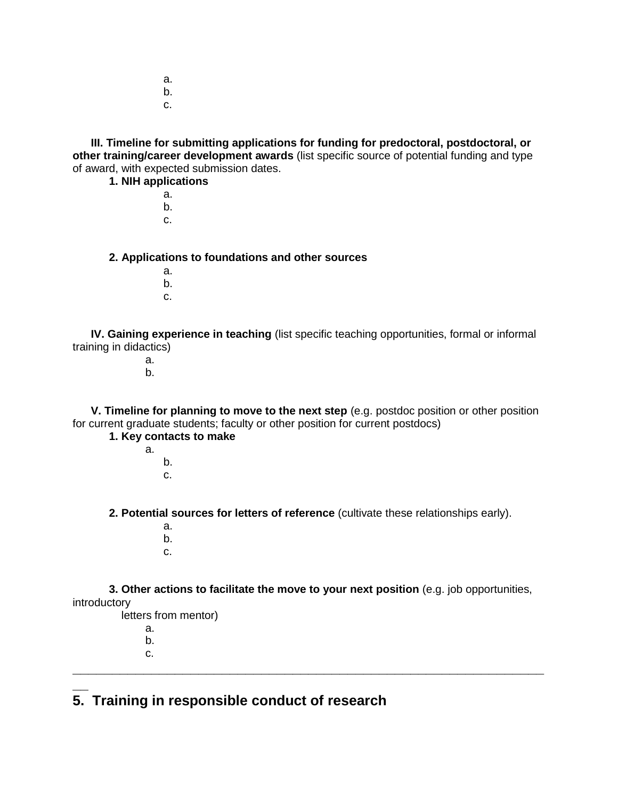- a. b.
- c.

**III. Timeline for submitting applications for funding for predoctoral, postdoctoral, or other training/career development awards** (list specific source of potential funding and type of award, with expected submission dates.

**1. NIH applications**

- a. b.
- c.

**2. Applications to foundations and other sources**

- a.
- b. c.

**IV. Gaining experience in teaching** (list specific teaching opportunities, formal or informal training in didactics)

> a. b.

**V. Timeline for planning to move to the next step** (e.g. postdoc position or other position for current graduate students; faculty or other position for current postdocs)

### **1. Key contacts to make**

- a.
- b. c.

**2. Potential sources for letters of reference** (cultivate these relationships early).

- a.
- b.
- c.

**3. Other actions to facilitate the move to your next position** (e.g. job opportunities, introductory

**\_\_\_\_\_\_\_\_\_\_\_\_\_\_\_\_\_\_\_\_\_\_\_\_\_\_\_\_\_\_\_\_\_\_\_\_\_\_\_\_\_\_\_\_\_\_\_\_\_\_\_\_\_\_\_\_\_\_\_\_**

- letters from mentor)
	- a.
	- b. c.
- **\_\_ 5. Training in responsible conduct of research**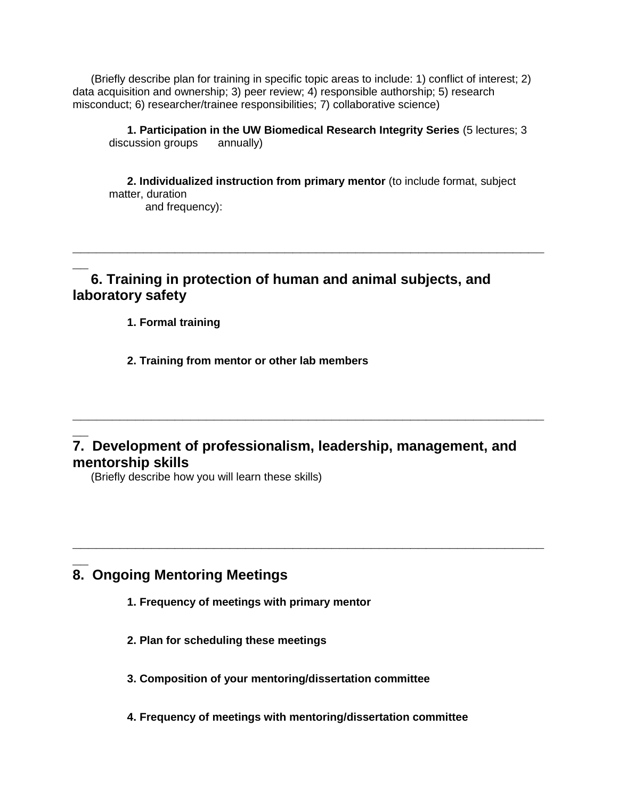(Briefly describe plan for training in specific topic areas to include: 1) conflict of interest; 2) data acquisition and ownership; 3) peer review; 4) responsible authorship; 5) research misconduct; 6) researcher/trainee responsibilities; 7) collaborative science)

**1. Participation in the UW Biomedical Research Integrity Series** (5 lectures; 3 discussion groups annually)

**2. Individualized instruction from primary mentor** (to include format, subject matter, duration

**\_\_\_\_\_\_\_\_\_\_\_\_\_\_\_\_\_\_\_\_\_\_\_\_\_\_\_\_\_\_\_\_\_\_\_\_\_\_\_\_\_\_\_\_\_\_\_\_\_\_\_\_\_\_\_\_\_\_\_\_**

and frequency):

# **6. Training in protection of human and animal subjects, and laboratory safety**

**1. Formal training**

**\_\_**

**2. Training from mentor or other lab members**

## **\_\_ 7. Development of professionalism, leadership, management, and mentorship skills**

**\_\_\_\_\_\_\_\_\_\_\_\_\_\_\_\_\_\_\_\_\_\_\_\_\_\_\_\_\_\_\_\_\_\_\_\_\_\_\_\_\_\_\_\_\_\_\_\_\_\_\_\_\_\_\_\_\_\_\_\_**

**\_\_\_\_\_\_\_\_\_\_\_\_\_\_\_\_\_\_\_\_\_\_\_\_\_\_\_\_\_\_\_\_\_\_\_\_\_\_\_\_\_\_\_\_\_\_\_\_\_\_\_\_\_\_\_\_\_\_\_\_**

(Briefly describe how you will learn these skills)

## **\_\_ 8. Ongoing Mentoring Meetings**

- **1. Frequency of meetings with primary mentor**
- **2. Plan for scheduling these meetings**
- **3. Composition of your mentoring/dissertation committee**
- **4. Frequency of meetings with mentoring/dissertation committee**